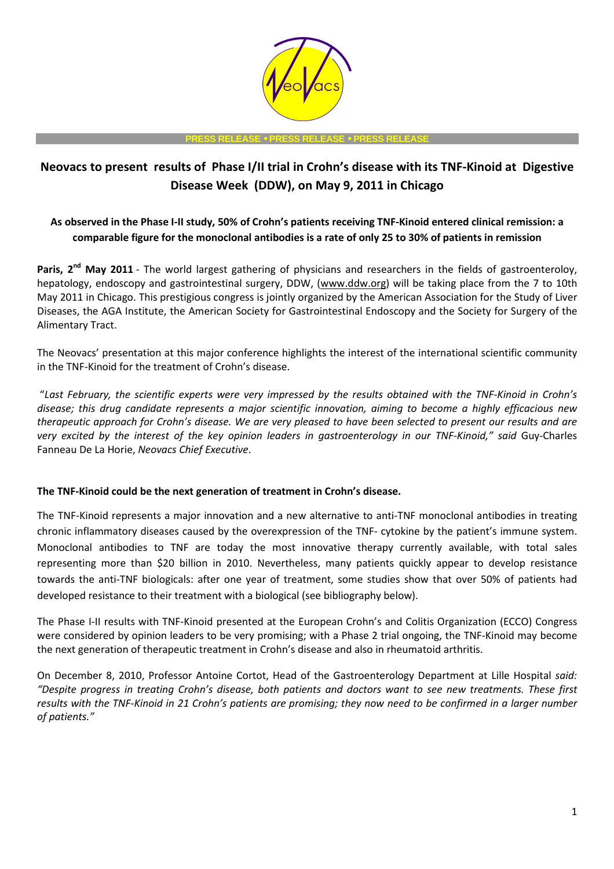

#### **PRESS RELEASE** • **PRESS RELEASE** • **PRESS RELEASE**

# **Neovacs to present results of Phase I/II trial in Crohn's disease with its TNF-Kinoid at Digestive Disease Week (DDW), on May 9, 2011 in Chicago**

# **As observed in the Phase I-II study, 50% of Crohn's patients receiving TNF-Kinoid entered clinical remission: a comparable figure for the monoclonal antibodies is a rate of only 25 to 30% of patients in remission**

Paris, 2<sup>nd</sup> May 2011 - The world largest gathering of physicians and researchers in the fields of gastroenteroloy, hepatology, endoscopy and gastrointestinal surgery, DDW, (www.ddw.org) will be taking place from the 7 to 10th May 2011 in Chicago. This prestigious congress is jointly organized by the American Association for the Study of Liver Diseases, the AGA Institute, the American Society for Gastrointestinal Endoscopy and the Society for Surgery of the Alimentary Tract.

The Neovacs' presentation at this major conference highlights the interest of the international scientific community in the TNF-Kinoid for the treatment of Crohn's disease.

 "*Last February, the scientific experts were very impressed by the results obtained with the TNF-Kinoid in Crohn's disease; this drug candidate represents a major scientific innovation, aiming to become a highly efficacious new therapeutic approach for Crohn's disease. We are very pleased to have been selected to present our results and are very excited by the interest of the key opinion leaders in gastroenterology in our TNF-Kinoid," said* Guy-Charles Fanneau De La Horie, *Neovacs Chief Executive*.

## **The TNF-Kinoid could be the next generation of treatment in Crohn's disease.**

The TNF-Kinoid represents a major innovation and a new alternative to anti-TNF monoclonal antibodies in treating chronic inflammatory diseases caused by the overexpression of the TNF- cytokine by the patient's immune system. Monoclonal antibodies to TNF are today the most innovative therapy currently available, with total sales representing more than \$20 billion in 2010. Nevertheless, many patients quickly appear to develop resistance towards the anti-TNF biologicals: after one year of treatment, some studies show that over 50% of patients had developed resistance to their treatment with a biological (see bibliography below).

The Phase I-II results with TNF-Kinoid presented at the European Crohn's and Colitis Organization (ECCO) Congress were considered by opinion leaders to be very promising; with a Phase 2 trial ongoing, the TNF-Kinoid may become the next generation of therapeutic treatment in Crohn's disease and also in rheumatoid arthritis.

On December 8, 2010, Professor Antoine Cortot, Head of the Gastroenterology Department at Lille Hospital *said: "Despite progress in treating Crohn's disease, both patients and doctors want to see new treatments. These first results with the TNF-Kinoid in 21 Crohn's patients are promising; they now need to be confirmed in a larger number of patients."*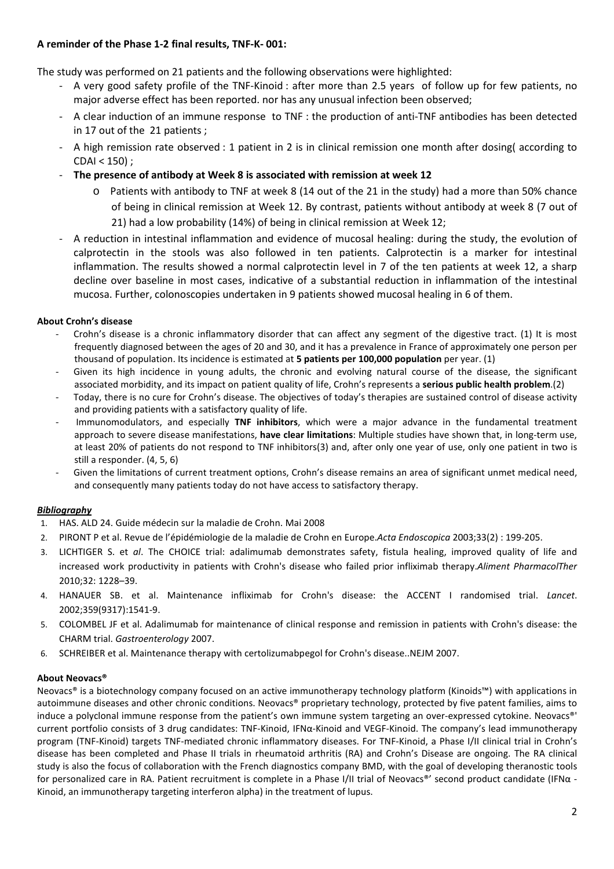## **A reminder of the Phase 1-2 final results, TNF-K- 001:**

The study was performed on 21 patients and the following observations were highlighted:

- A very good safety profile of the TNF-Kinoid : after more than 2.5 years of follow up for few patients, no major adverse effect has been reported. nor has any unusual infection been observed;
- A clear induction of an immune response to TNF : the production of anti-TNF antibodies has been detected in 17 out of the 21 patients ;
- A high remission rate observed : 1 patient in 2 is in clinical remission one month after dosing( according to  $CDAI < 150$ );
- **The presence of antibody at Week 8 is associated with remission at week 12** 
	- o Patients with antibody to TNF at week 8 (14 out of the 21 in the study) had a more than 50% chance of being in clinical remission at Week 12. By contrast, patients without antibody at week 8 (7 out of
		- 21) had a low probability (14%) of being in clinical remission at Week 12;
- A reduction in intestinal inflammation and evidence of mucosal healing: during the study, the evolution of calprotectin in the stools was also followed in ten patients. Calprotectin is a marker for intestinal inflammation. The results showed a normal calprotectin level in 7 of the ten patients at week 12, a sharp decline over baseline in most cases, indicative of a substantial reduction in inflammation of the intestinal mucosa. Further, colonoscopies undertaken in 9 patients showed mucosal healing in 6 of them.

#### **About Crohn's disease**

- Crohn's disease is a chronic inflammatory disorder that can affect any segment of the digestive tract. (1) It is most frequently diagnosed between the ages of 20 and 30, and it has a prevalence in France of approximately one person per thousand of population. Its incidence is estimated at **5 patients per 100,000 population** per year. (1)
- Given its high incidence in young adults, the chronic and evolving natural course of the disease, the significant associated morbidity, and its impact on patient quality of life, Crohn's represents a **serious public health problem**.(2)
- Today, there is no cure for Crohn's disease. The objectives of today's therapies are sustained control of disease activity and providing patients with a satisfactory quality of life.
- Immunomodulators, and especially **TNF inhibitors**, which were a major advance in the fundamental treatment approach to severe disease manifestations, **have clear limitations**: Multiple studies have shown that, in long-term use, at least 20% of patients do not respond to TNF inhibitors(3) and, after only one year of use, only one patient in two is still a responder. (4, 5, 6)
- Given the limitations of current treatment options, Crohn's disease remains an area of significant unmet medical need, and consequently many patients today do not have access to satisfactory therapy.

## *Bibliography*

- 1. HAS. ALD 24. Guide médecin sur la maladie de Crohn. Mai 2008
- 2. PIRONT P et al. Revue de l'épidémiologie de la maladie de Crohn en Europe.*Acta Endoscopica* 2003;33(2) : 199-205.
- 3. LICHTIGER S. et *al*. The CHOICE trial: adalimumab demonstrates safety, fistula healing, improved quality of life and increased work productivity in patients with Crohn's disease who failed prior infliximab therapy.*Aliment PharmacolTher* 2010;32: 1228–39.
- 4. HANAUER SB. et al. Maintenance infliximab for Crohn's disease: the ACCENT I randomised trial. *Lancet*. 2002;359(9317):1541-9.
- 5. COLOMBEL JF et al. Adalimumab for maintenance of clinical response and remission in patients with Crohn's disease: the CHARM trial. *Gastroenterology* 2007.
- 6. SCHREIBER et al. Maintenance therapy with certolizumabpegol for Crohn's disease..NEJM 2007.

#### **About Neovacs®**

Neovacs® is a biotechnology company focused on an active immunotherapy technology platform (Kinoids™) with applications in autoimmune diseases and other chronic conditions. Neovacs® proprietary technology, protected by five patent families, aims to induce a polyclonal immune response from the patient's own immune system targeting an over-expressed cytokine. Neovacs®' current portfolio consists of 3 drug candidates: TNF-Kinoid, IFNα-Kinoid and VEGF-Kinoid. The company's lead immunotherapy program (TNF-Kinoid) targets TNF-mediated chronic inflammatory diseases. For TNF-Kinoid, a Phase I/II clinical trial in Crohn's disease has been completed and Phase II trials in rheumatoid arthritis (RA) and Crohn's Disease are ongoing. The RA clinical study is also the focus of collaboration with the French diagnostics company BMD, with the goal of developing theranostic tools for personalized care in RA. Patient recruitment is complete in a Phase I/II trial of Neovacs®' second product candidate (IFNα -Kinoid, an immunotherapy targeting interferon alpha) in the treatment of lupus.